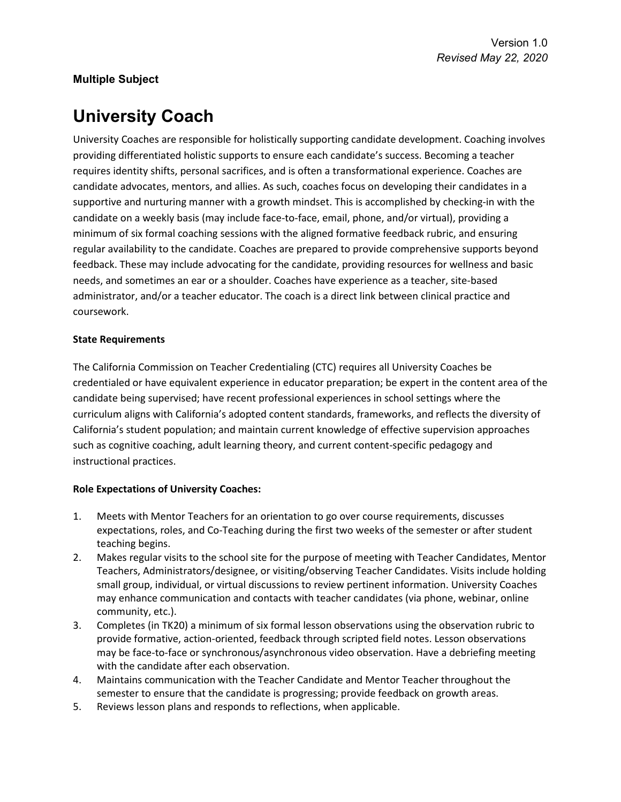## **Multiple Subject**

# **University Coach**

University Coaches are responsible for holistically supporting candidate development. Coaching involves providing differentiated holistic supports to ensure each candidate's success. Becoming a teacher requires identity shifts, personal sacrifices, and is often a transformational experience. Coaches are candidate advocates, mentors, and allies. As such, coaches focus on developing their candidates in a supportive and nurturing manner with a growth mindset. This is accomplished by checking-in with the candidate on a weekly basis (may include face-to-face, email, phone, and/or virtual), providing a minimum of six formal coaching sessions with the aligned formative feedback rubric, and ensuring regular availability to the candidate. Coaches are prepared to provide comprehensive supports beyond feedback. These may include advocating for the candidate, providing resources for wellness and basic needs, and sometimes an ear or a shoulder. Coaches have experience as a teacher, site-based administrator, and/or a teacher educator. The coach is a direct link between clinical practice and coursework.

#### **State Requirements**

The California Commission on Teacher Credentialing (CTC) requires all University Coaches be credentialed or have equivalent experience in educator preparation; be expert in the content area of the candidate being supervised; have recent professional experiences in school settings where the curriculum aligns with California's adopted content standards, frameworks, and reflects the diversity of California's student population; and maintain current knowledge of effective supervision approaches such as cognitive coaching, adult learning theory, and current content-specific pedagogy and instructional practices.

### **Role Expectations of University Coaches:**

- 1. Meets with Mentor Teachers for an orientation to go over course requirements, discusses expectations, roles, and Co-Teaching during the first two weeks of the semester or after student teaching begins.
- 2. Makes regular visits to the school site for the purpose of meeting with Teacher Candidates, Mentor Teachers, Administrators/designee, or visiting/observing Teacher Candidates. Visits include holding small group, individual, or virtual discussions to review pertinent information. University Coaches may enhance communication and contacts with teacher candidates (via phone, webinar, online community, etc.).
- 3. Completes (in TK20) a minimum of six formal lesson observations using the observation rubric to provide formative, action-oriented, feedback through scripted field notes. Lesson observations may be face-to-face or synchronous/asynchronous video observation. Have a debriefing meeting with the candidate after each observation.
- 4. Maintains communication with the Teacher Candidate and Mentor Teacher throughout the semester to ensure that the candidate is progressing; provide feedback on growth areas.
- 5. Reviews lesson plans and responds to reflections, when applicable.